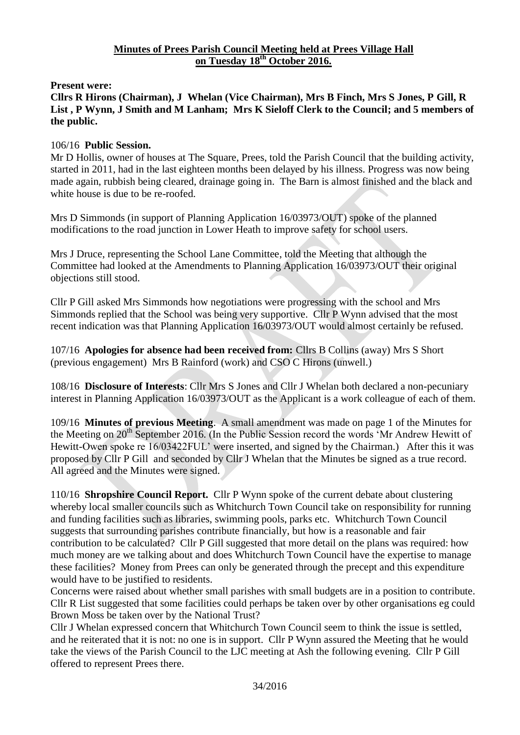#### **Minutes of Prees Parish Council Meeting held at Prees Village Hall on Tuesday 18th October 2016.**

**Present were:**

**Cllrs R Hirons (Chairman), J Whelan (Vice Chairman), Mrs B Finch, Mrs S Jones, P Gill, R List , P Wynn, J Smith and M Lanham; Mrs K Sieloff Clerk to the Council; and 5 members of the public.**

## 106/16 **Public Session.**

Mr D Hollis, owner of houses at The Square, Prees, told the Parish Council that the building activity, started in 2011, had in the last eighteen months been delayed by his illness. Progress was now being made again, rubbish being cleared, drainage going in. The Barn is almost finished and the black and white house is due to be re-roofed.

Mrs D Simmonds (in support of Planning Application 16/03973/OUT) spoke of the planned modifications to the road junction in Lower Heath to improve safety for school users.

Mrs J Druce, representing the School Lane Committee, told the Meeting that although the Committee had looked at the Amendments to Planning Application 16/03973/OUT their original objections still stood.

Cllr P Gill asked Mrs Simmonds how negotiations were progressing with the school and Mrs Simmonds replied that the School was being very supportive. Cllr P Wynn advised that the most recent indication was that Planning Application 16/03973/OUT would almost certainly be refused.

107/16 **Apologies for absence had been received from:** Cllrs B Collins (away) Mrs S Short (previous engagement) Mrs B Rainford (work) and CSO C Hirons (unwell.)

108/16 **Disclosure of Interests**: Cllr Mrs S Jones and Cllr J Whelan both declared a non-pecuniary interest in Planning Application 16/03973/OUT as the Applicant is a work colleague of each of them.

109/16 **Minutes of previous Meeting**. A small amendment was made on page 1 of the Minutes for the Meeting on  $20^{th}$  September 2016. (In the Public Session record the words 'Mr Andrew Hewitt of Hewitt-Owen spoke re 16/03422FUL' were inserted, and signed by the Chairman.) After this it was proposed by Cllr P Gill and seconded by Cllr J Whelan that the Minutes be signed as a true record. All agreed and the Minutes were signed.

110/16 **Shropshire Council Report.** Cllr P Wynn spoke of the current debate about clustering whereby local smaller councils such as Whitchurch Town Council take on responsibility for running and funding facilities such as libraries, swimming pools, parks etc. Whitchurch Town Council suggests that surrounding parishes contribute financially, but how is a reasonable and fair contribution to be calculated? Cllr P Gill suggested that more detail on the plans was required: how much money are we talking about and does Whitchurch Town Council have the expertise to manage these facilities? Money from Prees can only be generated through the precept and this expenditure would have to be justified to residents.

Concerns were raised about whether small parishes with small budgets are in a position to contribute. Cllr R List suggested that some facilities could perhaps be taken over by other organisations eg could Brown Moss be taken over by the National Trust?

Cllr J Whelan expressed concern that Whitchurch Town Council seem to think the issue is settled, and he reiterated that it is not: no one is in support. Cllr P Wynn assured the Meeting that he would take the views of the Parish Council to the LJC meeting at Ash the following evening. Cllr P Gill offered to represent Prees there.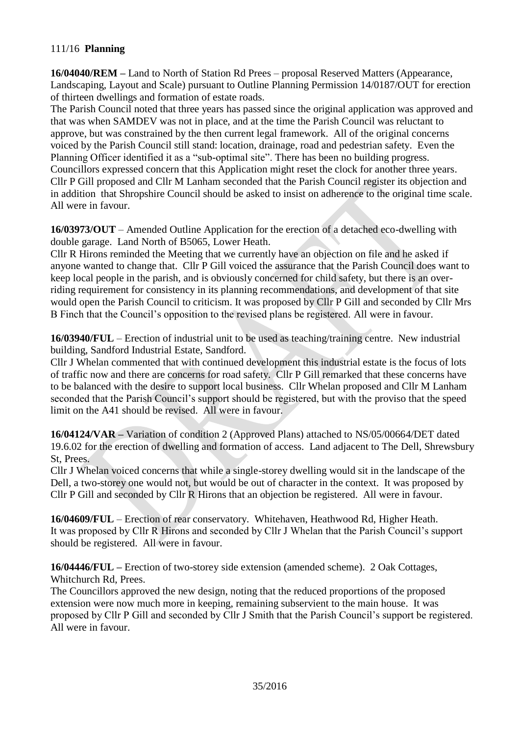# 111/16 **Planning**

**16/04040/REM –** Land to North of Station Rd Prees – proposal Reserved Matters (Appearance, Landscaping, Layout and Scale) pursuant to Outline Planning Permission 14/0187/OUT for erection of thirteen dwellings and formation of estate roads.

The Parish Council noted that three years has passed since the original application was approved and that was when SAMDEV was not in place, and at the time the Parish Council was reluctant to approve, but was constrained by the then current legal framework. All of the original concerns voiced by the Parish Council still stand: location, drainage, road and pedestrian safety. Even the Planning Officer identified it as a "sub-optimal site". There has been no building progress. Councillors expressed concern that this Application might reset the clock for another three years. Cllr P Gill proposed and Cllr M Lanham seconded that the Parish Council register its objection and in addition that Shropshire Council should be asked to insist on adherence to the original time scale. All were in favour.

**16/03973/OUT** – Amended Outline Application for the erection of a detached eco-dwelling with double garage. Land North of B5065, Lower Heath.

Cllr R Hirons reminded the Meeting that we currently have an objection on file and he asked if anyone wanted to change that. Cllr P Gill voiced the assurance that the Parish Council does want to keep local people in the parish, and is obviously concerned for child safety, but there is an overriding requirement for consistency in its planning recommendations, and development of that site would open the Parish Council to criticism. It was proposed by Cllr P Gill and seconded by Cllr Mrs B Finch that the Council's opposition to the revised plans be registered. All were in favour.

**16/03940/FUL** – Erection of industrial unit to be used as teaching/training centre. New industrial building, Sandford Industrial Estate, Sandford.

Cllr J Whelan commented that with continued development this industrial estate is the focus of lots of traffic now and there are concerns for road safety. Cllr P Gill remarked that these concerns have to be balanced with the desire to support local business. Cllr Whelan proposed and Cllr M Lanham seconded that the Parish Council's support should be registered, but with the proviso that the speed limit on the A41 should be revised. All were in favour.

**16/04124/VAR –** Variation of condition 2 (Approved Plans) attached to NS/05/00664/DET dated 19.6.02 for the erection of dwelling and formation of access. Land adjacent to The Dell, Shrewsbury St, Prees.

Cllr J Whelan voiced concerns that while a single-storey dwelling would sit in the landscape of the Dell, a two-storey one would not, but would be out of character in the context. It was proposed by Cllr P Gill and seconded by Cllr R Hirons that an objection be registered. All were in favour.

**16/04609/FUL** – Erection of rear conservatory. Whitehaven, Heathwood Rd, Higher Heath. It was proposed by Cllr R Hirons and seconded by Cllr J Whelan that the Parish Council's support should be registered. All were in favour.

**16/04446/FUL –** Erection of two-storey side extension (amended scheme). 2 Oak Cottages, Whitchurch Rd, Prees.

The Councillors approved the new design, noting that the reduced proportions of the proposed extension were now much more in keeping, remaining subservient to the main house. It was proposed by Cllr P Gill and seconded by Cllr J Smith that the Parish Council's support be registered. All were in favour.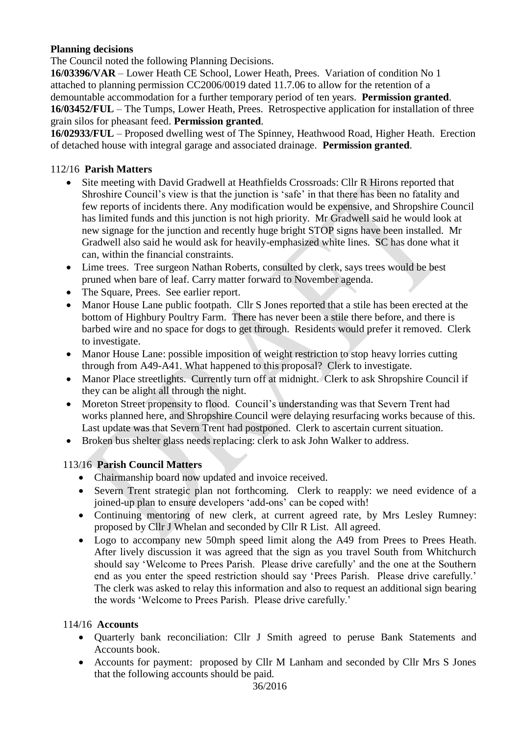# **Planning decisions**

The Council noted the following Planning Decisions.

**16/03396/VAR** – Lower Heath CE School, Lower Heath, Prees. Variation of condition No 1 attached to planning permission CC2006/0019 dated 11.7.06 to allow for the retention of a demountable accommodation for a further temporary period of ten years. **Permission granted**. **16/03452/FUL** – The Tumps, Lower Heath, Prees. Retrospective application for installation of three grain silos for pheasant feed. **Permission granted**.

**16/02933/FUL** – Proposed dwelling west of The Spinney, Heathwood Road, Higher Heath. Erection of detached house with integral garage and associated drainage. **Permission granted**.

## 112/16 **Parish Matters**

- Site meeting with David Gradwell at Heathfields Crossroads: Cllr R Hirons reported that Shroshire Council's view is that the junction is 'safe' in that there has been no fatality and few reports of incidents there. Any modification would be expensive, and Shropshire Council has limited funds and this junction is not high priority. Mr Gradwell said he would look at new signage for the junction and recently huge bright STOP signs have been installed. Mr Gradwell also said he would ask for heavily-emphasized white lines. SC has done what it can, within the financial constraints.
- Lime trees. Tree surgeon Nathan Roberts, consulted by clerk, says trees would be best pruned when bare of leaf. Carry matter forward to November agenda.
- The Square, Prees. See earlier report.
- Manor House Lane public footpath. Cllr S Jones reported that a stile has been erected at the bottom of Highbury Poultry Farm. There has never been a stile there before, and there is barbed wire and no space for dogs to get through. Residents would prefer it removed. Clerk to investigate.
- Manor House Lane: possible imposition of weight restriction to stop heavy lorries cutting through from A49-A41. What happened to this proposal? Clerk to investigate.
- Manor Place streetlights. Currently turn off at midnight. Clerk to ask Shropshire Council if they can be alight all through the night.
- Moreton Street propensity to flood. Council's understanding was that Severn Trent had works planned here, and Shropshire Council were delaying resurfacing works because of this. Last update was that Severn Trent had postponed. Clerk to ascertain current situation.
- Broken bus shelter glass needs replacing: clerk to ask John Walker to address.

# 113/16 **Parish Council Matters**

- Chairmanship board now updated and invoice received.
- Severn Trent strategic plan not forthcoming. Clerk to reapply: we need evidence of a joined-up plan to ensure developers 'add-ons' can be coped with!
- Continuing mentoring of new clerk, at current agreed rate, by Mrs Lesley Rumney: proposed by Cllr J Whelan and seconded by Cllr R List. All agreed.
- Logo to accompany new 50mph speed limit along the A49 from Prees to Prees Heath. After lively discussion it was agreed that the sign as you travel South from Whitchurch should say 'Welcome to Prees Parish. Please drive carefully' and the one at the Southern end as you enter the speed restriction should say 'Prees Parish. Please drive carefully.' The clerk was asked to relay this information and also to request an additional sign bearing the words 'Welcome to Prees Parish. Please drive carefully.'

## 114/16 **Accounts**

- Quarterly bank reconciliation: Cllr J Smith agreed to peruse Bank Statements and Accounts book.
- Accounts for payment: proposed by Cllr M Lanham and seconded by Cllr Mrs S Jones that the following accounts should be paid.